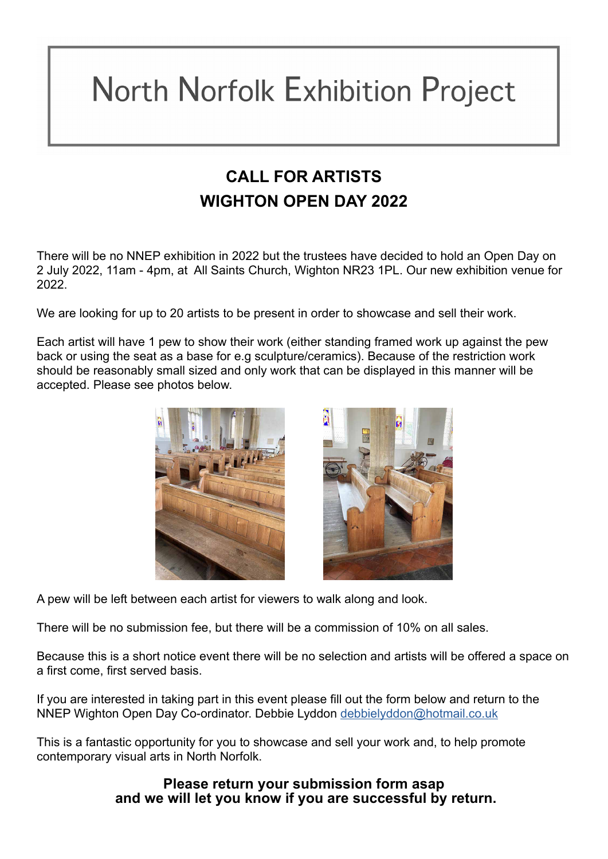## **North Norfolk Exhibition Project**

## **CALL FOR ARTISTS WIGHTON OPEN DAY 2022**

There will be no NNEP exhibition in 2022 but the trustees have decided to hold an Open Day on 2 July 2022, 11am - 4pm, at All Saints Church, Wighton NR23 1PL. Our new exhibition venue for 2022.

We are looking for up to 20 artists to be present in order to showcase and sell their work.

Each artist will have 1 pew to show their work (either standing framed work up against the pew back or using the seat as a base for e.g sculpture/ceramics). Because of the restriction work should be reasonably small sized and only work that can be displayed in this manner will be accepted. Please see photos below.



A pew will be left between each artist for viewers to walk along and look.

There will be no submission fee, but there will be a commission of 10% on all sales.

Because this is a short notice event there will be no selection and artists will be offered a space on a first come, first served basis.

If you are interested in taking part in this event please fill out the form below and return to the NNEP Wighton Open Day Co-ordinator. Debbie Lyddon [debbielyddon@hotmail.co.uk](http://debbielyddon@hotmail.co.uk)

This is a fantastic opportunity for you to showcase and sell your work and, to help promote contemporary visual arts in North Norfolk.

> **Please return your submission form asap and we will let you know if you are successful by return.**